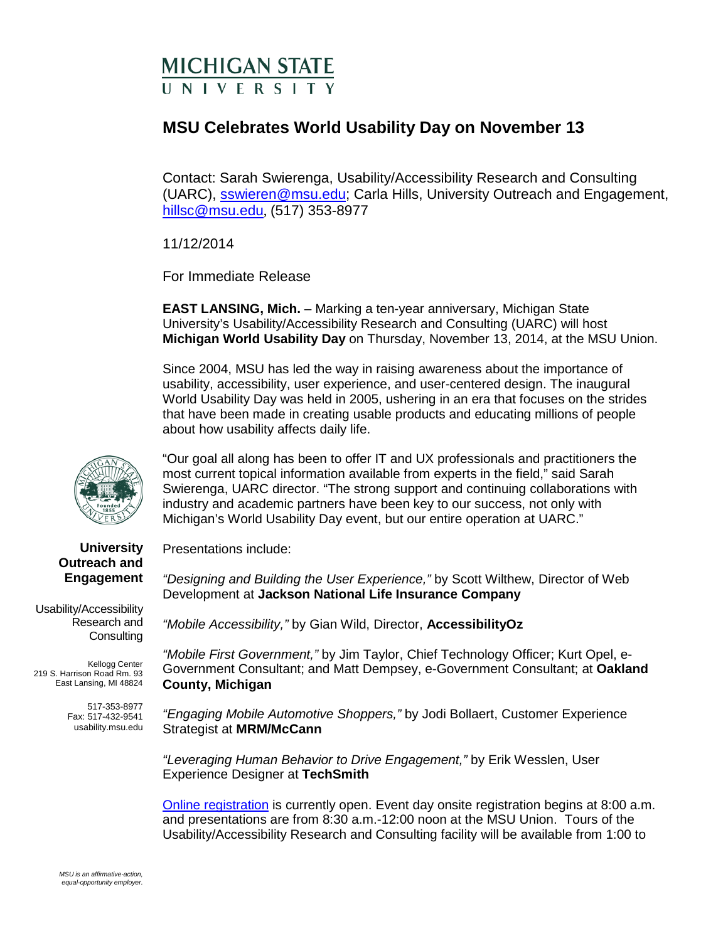## **MICHIGAN STATE IN IVERSITY**

## **MSU Celebrates World Usability Day on November 13**

Contact: Sarah Swierenga, Usability/Accessibility Research and Consulting (UARC), [sswieren@msu.edu;](mailto:sswieren@msu.edu) Carla Hills, University Outreach and Engagement, [hillsc@msu.edu](mailto:hillsc@msu.edu), (517) 353-8977

11/12/2014

For Immediate Release

**EAST LANSING, Mich.** – Marking a ten-year anniversary, Michigan State University's Usability/Accessibility Research and Consulting (UARC) will host **Michigan World Usability Day** on Thursday, November 13, 2014, at the MSU Union.

Since 2004, MSU has led the way in raising awareness about the importance of usability, accessibility, user experience, and user-centered design. The inaugural World Usability Day was held in 2005, ushering in an era that focuses on the strides that have been made in creating usable products and educating millions of people about how usability affects daily life.



"Our goal all along has been to offer IT and UX professionals and practitioners the most current topical information available from experts in the field," said Sarah Swierenga, UARC director. "The strong support and continuing collaborations with industry and academic partners have been key to our success, not only with Michigan's World Usability Day event, but our entire operation at UARC."

Presentations include:

*"Designing and Building the User Experience,"* by Scott Wilthew, Director of Web Development at **Jackson National Life Insurance Company**

*"Mobile Accessibility,"* by Gian Wild, Director, **AccessibilityOz**

*"Mobile First Government,"* by Jim Taylor, Chief Technology Officer; Kurt Opel, e-Government Consultant; and Matt Dempsey, e-Government Consultant; at **Oakland County, Michigan** 

*"Engaging Mobile Automotive Shoppers,"* by Jodi Bollaert, Customer Experience Strategist at **MRM/McCann**

*"Leveraging Human Behavior to Drive Engagement,"* by Erik Wesslen, User Experience Designer at **TechSmith**

[Online registration](http://events.outreach.msu.edu/Registrations/Register/59) is currently open. Event day onsite registration begins at 8:00 a.m. and presentations are from 8:30 a.m.-12:00 noon at the MSU Union. Tours of the Usability/Accessibility Research and Consulting facility will be available from 1:00 to

**University Outreach and Engagement**

Usability/Accessibility Research and **Consulting** 

Kellogg Center 219 S. Harrison Road Rm. 93 East Lansing, MI 48824

> 517-353-8977 Fax: 517-432-9541 usability.msu.edu